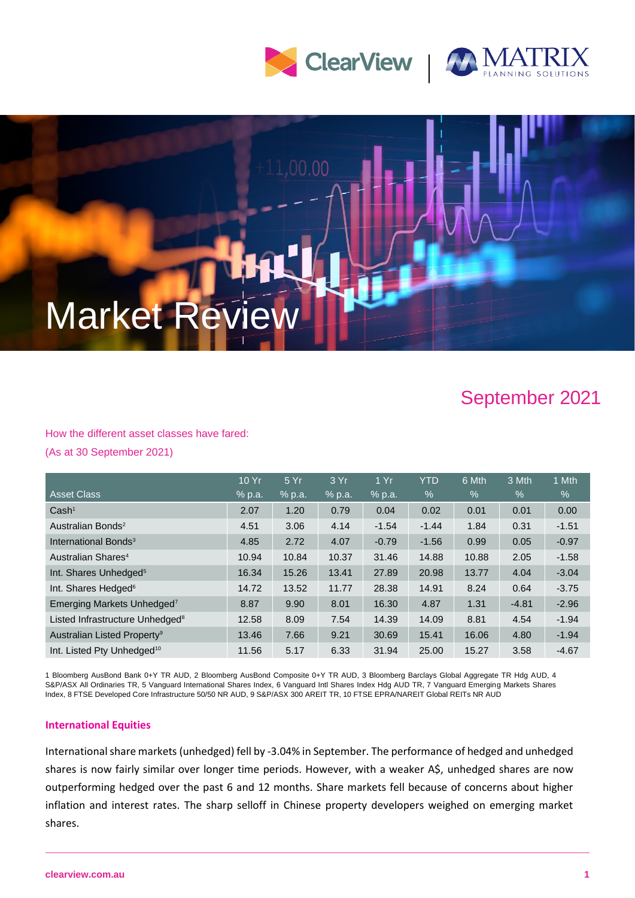



# 1,00.00 Market Revi

# September 2021

How the different asset classes have fared: (As at 30 September 2021)

|                                             | 10 Yr  | 5 Yr   | 3 Yr   | 1Yr     | <b>YTD</b>    | 6 Mth         | 3 Mth   | 1 Mth   |
|---------------------------------------------|--------|--------|--------|---------|---------------|---------------|---------|---------|
| <b>Asset Class</b>                          | % p.a. | % p.a. | % p.a. | % p.a.  | $\frac{1}{2}$ | $\frac{0}{0}$ | $\%$    | %       |
| Cash <sup>1</sup>                           | 2.07   | 1.20   | 0.79   | 0.04    | 0.02          | 0.01          | 0.01    | 0.00    |
| Australian Bonds <sup>2</sup>               | 4.51   | 3.06   | 4.14   | $-1.54$ | $-1.44$       | 1.84          | 0.31    | $-1.51$ |
| International Bonds <sup>3</sup>            | 4.85   | 2.72   | 4.07   | $-0.79$ | $-1.56$       | 0.99          | 0.05    | $-0.97$ |
| Australian Shares <sup>4</sup>              | 10.94  | 10.84  | 10.37  | 31.46   | 14.88         | 10.88         | 2.05    | $-1.58$ |
| Int. Shares Unhedged <sup>5</sup>           | 16.34  | 15.26  | 13.41  | 27.89   | 20.98         | 13.77         | 4.04    | $-3.04$ |
| Int. Shares Hedged <sup>6</sup>             | 14.72  | 13.52  | 11.77  | 28.38   | 14.91         | 8.24          | 0.64    | $-3.75$ |
| Emerging Markets Unhedged <sup>7</sup>      | 8.87   | 9.90   | 8.01   | 16.30   | 4.87          | 1.31          | $-4.81$ | $-2.96$ |
| Listed Infrastructure Unhedged <sup>8</sup> | 12.58  | 8.09   | 7.54   | 14.39   | 14.09         | 8.81          | 4.54    | $-1.94$ |
| Australian Listed Property <sup>9</sup>     | 13.46  | 7.66   | 9.21   | 30.69   | 15.41         | 16.06         | 4.80    | $-1.94$ |
| Int. Listed Pty Unhedged <sup>10</sup>      | 11.56  | 5.17   | 6.33   | 31.94   | 25.00         | 15.27         | 3.58    | $-4.67$ |

1 Bloomberg AusBond Bank 0+Y TR AUD, 2 Bloomberg AusBond Composite 0+Y TR AUD, 3 Bloomberg Barclays Global Aggregate TR Hdg AUD, 4 S&P/ASX All Ordinaries TR, 5 Vanguard International Shares Index, 6 Vanguard Intl Shares Index Hdg AUD TR, 7 Vanguard Emerging Markets Shares Index, 8 FTSE Developed Core Infrastructure 50/50 NR AUD, 9 S&P/ASX 300 AREIT TR, 10 FTSE EPRA/NAREIT Global REITs NR AUD

### **International Equities**

International share markets (unhedged) fell by -3.04% in September. The performance of hedged and unhedged shares is now fairly similar over longer time periods. However, with a weaker A\$, unhedged shares are now outperforming hedged over the past 6 and 12 months. Share markets fell because of concerns about higher inflation and interest rates. The sharp selloff in Chinese property developers weighed on emerging market shares.